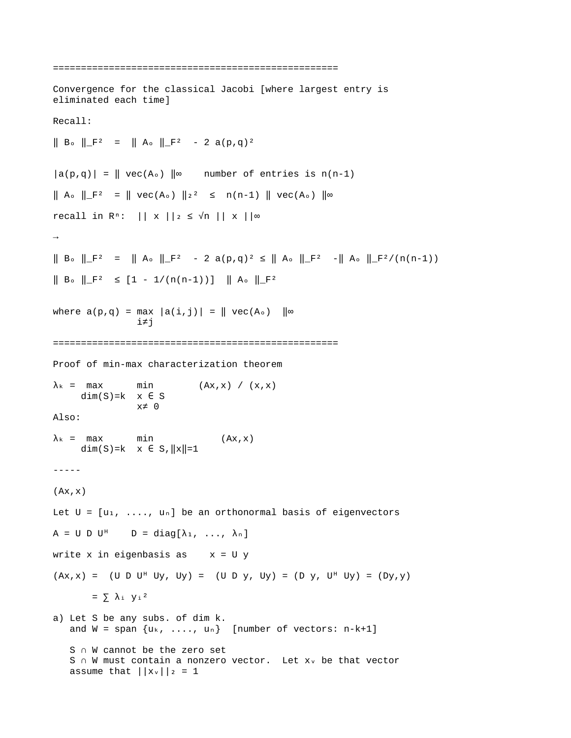```
===================================================
Convergence for the classical Jacobi [where largest entry is
eliminated each time]
Recall:
\parallel B<sub>o</sub> \parallel \parallel \parallel<sup>2</sup> = \parallel A<sub>o</sub> \parallel \parallel \parallel<sup>2</sup> - 2 a(p,q)<sup>2</sup>
|a(p,q)| = ||vec(A<sub>o</sub>)||<sup>\infty</sup> number of entries is n(n-1)
|| A<sub>o</sub> ||_F<sup>2</sup> = || vec(A<sub>o</sub>) ||<sub>2</sub><sup>2</sup> ≤ n(n-1) || vec(A<sub>o</sub>) ||∞
recall in R<sup>n</sup>: || x || 2 ≤ √n || x ||∞
\rightarrow|| B. ||F^2 = ||A. ||F^2 - 2a(p,q)^2 ≤ ||A. ||F^2 - ||A. ||F^2/(n(n-1))\| B_{\circ} \|_F^2 \leq [1 - 1/(n(n-1))] \| A_{\circ} \|_F^2where a(p,q) = max |a(i,j)| = || vec(A<sub>o</sub>) ||<sub>∞</sub> i≠j
===================================================
Proof of min-max characterization theorem 
\lambda_k = max min (Ax, x) / (x, x)
      dim(S)=k \times \in S
                     x≠ 0 
Also:
\lambda_k = max min (Ax, x)
      dim(S)=k x \in S, ||x||=1-----
(Ax, x)Let U = [u_1, \ldots, u_n] be an orthonormal basis of eigenvectors
A = U D U^{\dagger} D = diag[\lambda_1, \ldots, \lambda_n]write x in eigenbasis as x = U y(Ax, x) = (U D U^{\dagger} U y, U y) = (U D y, U y) = (D y, U^{\dagger} U y) = (D y, y)= \sum λ<sub>i</sub> y<sub>i</sub><sup>2</sup>
a) Let S be any subs. of dim k.
    and W = span \{u_k, \ldots, u_n\} [number of vectors: n-k+1]
     S ∩ W cannot be the zero set
    S ∩ W must contain a nonzero vector. Let x<sub>v</sub> be that vector
    assume that ||x_v||_2 = 1
```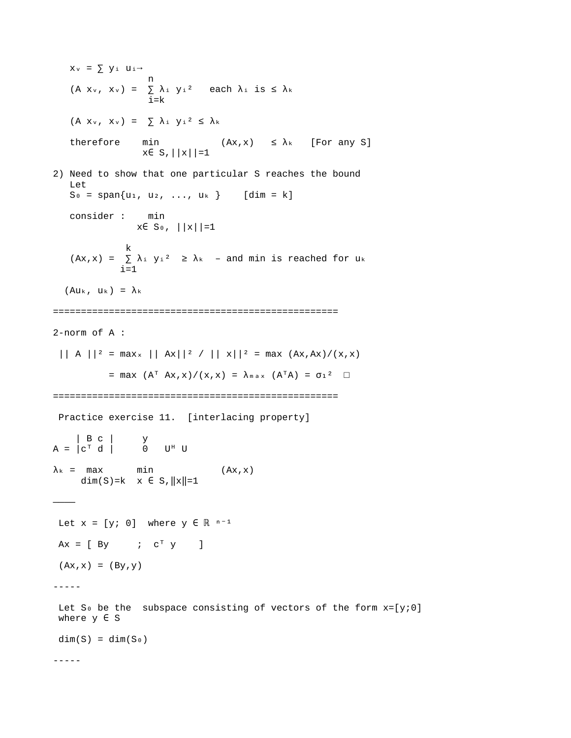$x_v = \sum y_i u_i \rightarrow$  n (A  $x_v$ ,  $x_v$ ) =  $\sum \lambda_i y_i^2$  each  $\lambda_i$  is  $\leq \lambda_k$ i=k  $(A \times_v, \times_v) = \sum \lambda_i y_i^2 \leq \lambda_k$ therefore min  $(Ax, x) \leq \lambda_k$  [For any S]  $x \in S, |x||=1$ 2) Need to show that one particular S reaches the bound Let  $S_0 = span\{u_1, u_2, ..., u_k\}$  [dim = k] consider : min  $x \in S_0$ ,  $||x||=1$ ka kacamatan ing K  $(Ax, x) = \sum \lambda_i y_i^2 \ge \lambda_k$  – and min is reached for uk  $i=1$  $(Au_{k}, u_{k}) = \lambda_{k}$ =================================================== 2-norm of A : || A ||<sup>2</sup> = max<sub>x</sub> || Ax||<sup>2</sup> / || x||<sup>2</sup> = max  $(Ax, Ax)/(x, x)$ = max  $(A^T Ax, x) / (x, x) = \lambda_{max} (A^T A) = \sigma_1^2$   $\Box$ =================================================== Practice exercise 11. [interlacing property] | B c | y A = |c「 d | 0 U<sup>H</sup> U  $\lambda_k$  = max min (Ax, x) dim(S)=k  $x \in S$ ,  $||x||=1$ ———— Let  $x = [y; 0]$  where  $y \in \mathbb{R}^{n-1}$  $Ax = [By \t ; c^T y]$  $(Ax, x) = (By, y)$ ----- Let S<sub>0</sub> be the subspace consisting of vectors of the form  $x=[y;0]$ where  $y \in S$  $dim(S) = dim(S_0)$ -----